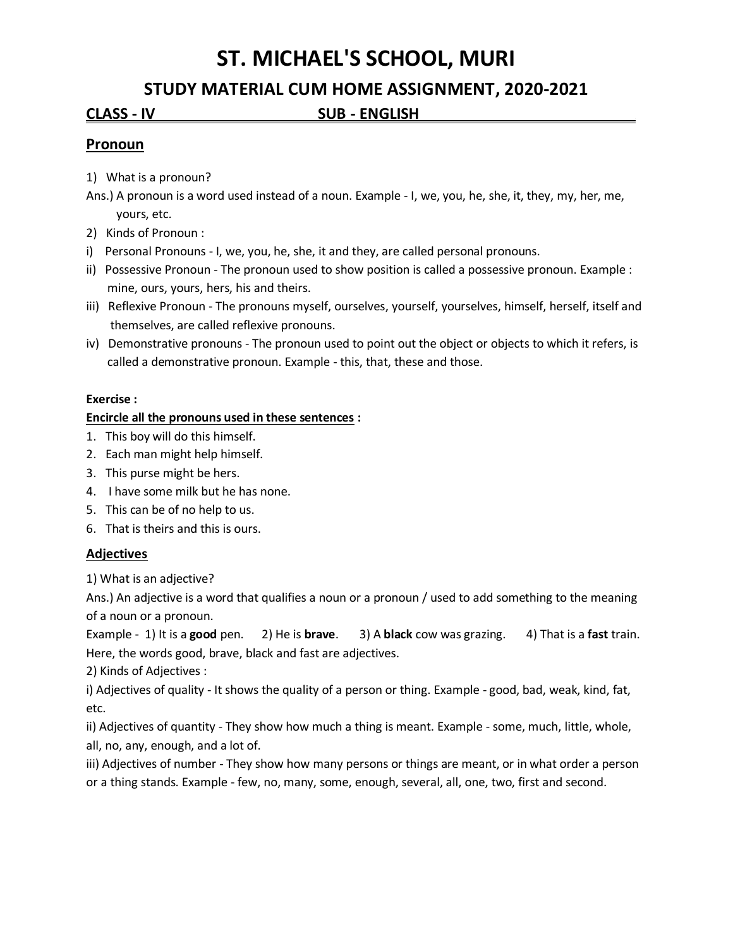# **ST. MICHAEL'S SCHOOL, MURI**

# **STUDY MATERIAL CUM HOME ASSIGNMENT, 2020-2021**

# **CLASS - IV SUB - ENGLISH .**

# **Pronoun**

- 1) What is a pronoun?
- Ans.) A pronoun is a word used instead of a noun. Example I, we, you, he, she, it, they, my, her, me, yours, etc.
- 2) Kinds of Pronoun :
- i) Personal Pronouns I, we, you, he, she, it and they, are called personal pronouns.
- ii) Possessive Pronoun The pronoun used to show position is called a possessive pronoun. Example : mine, ours, yours, hers, his and theirs.
- iii) Reflexive Pronoun The pronouns myself, ourselves, yourself, yourselves, himself, herself, itself and themselves, are called reflexive pronouns.
- iv) Demonstrative pronouns The pronoun used to point out the object or objects to which it refers, is called a demonstrative pronoun. Example - this, that, these and those.

#### **Exercise :**

#### **Encircle all the pronouns used in these sentences :**

- 1. This boy will do this himself.
- 2. Each man might help himself.
- 3. This purse might be hers.
- 4. I have some milk but he has none.
- 5. This can be of no help to us.
- 6. That is theirs and this is ours.

### **Adjectives**

1) What is an adjective?

Ans.) An adjective is a word that qualifies a noun or a pronoun / used to add something to the meaning of a noun or a pronoun.

Example - 1) It is a **good** pen. 2) He is **brave**. 3) A **black** cow was grazing. 4) That is a **fast** train. Here, the words good, brave, black and fast are adjectives.

2) Kinds of Adjectives :

i) Adjectives of quality - It shows the quality of a person or thing. Example - good, bad, weak, kind, fat, etc.

ii) Adjectives of quantity - They show how much a thing is meant. Example - some, much, little, whole, all, no, any, enough, and a lot of.

iii) Adjectives of number - They show how many persons or things are meant, or in what order a person or a thing stands. Example - few, no, many, some, enough, several, all, one, two, first and second.